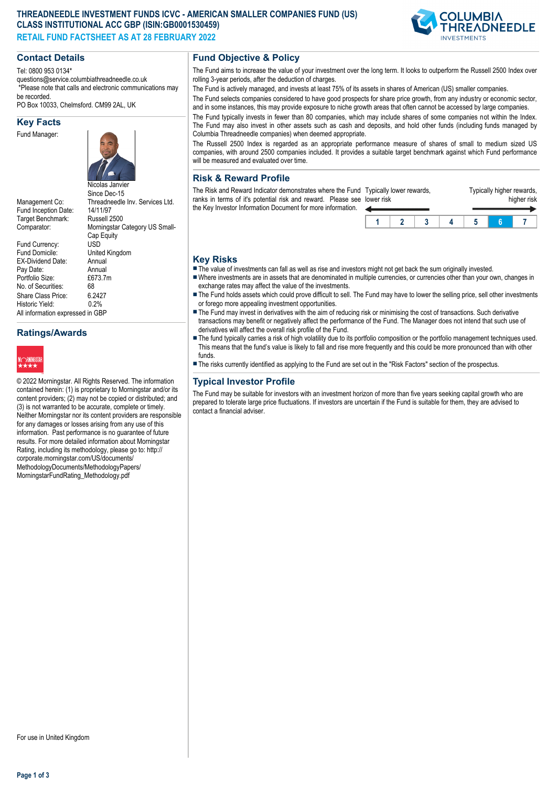#### **THREADNEEDLE INVESTMENT FUNDS ICVC - AMERICAN SMALLER COMPANIES FUND (US) CLASS INSTITUTIONAL ACC GBP (ISIN:GB0001530459) RETAIL FUND FACTSHEET AS AT 28 FEBRUARY 2022**



## **Contact Details**

Tel: 0800 953 0134\*

questions@service.columbiathreadneedle.co.uk \*Please note that calls and electronic communications may be recorded.

PO Box 10033, Chelmsford. CM99 2AL, UK

#### **Key Facts**

Fund Manager:



Management Co: Threadneedle Inv. Services Ltd.<br>Fund Inception Date: 14/11/97 Fund Inception Date: 14/11/97<br>Target Benchmark: Russell 2500 Target Benchmark:

Comparator: Morningstar Category US Small-Cap Equity<br>USD Fund Currency:<br>Fund Domicile: United Kingdom<br>Annual EX-Dividend Date: Annual<br>Pav Date: Annual Pay Date: Annual<br>Portfolio Size: £673.7m Portfolio Size: £6<br>No. of Securities: 68 No. of Securities: Share Class Price: 6.2427<br>Historic Yield: 0.2% Historic Yield: All information expressed in GBP

# **Ratings/Awards**



© 2022 Morningstar. All Rights Reserved. The information contained herein: (1) is proprietary to Morningstar and/or its content providers; (2) may not be copied or distributed; and (3) is not warranted to be accurate, complete or timely. Neither Morningstar nor its content providers are responsible for any damages or losses arising from any use of this information. Past performance is no guarantee of future results. For more detailed information about Morningstar Rating, including its methodology, please go to: http:// corporate.morningstar.com/US/documents/ MethodologyDocuments/MethodologyPapers/ MorningstarFundRating\_Methodology.pdf

# **Fund Objective & Policy**

The Fund aims to increase the value of your investment over the long term. It looks to outperform the Russell 2500 Index over rolling 3-year periods, after the deduction of charges.

The Fund is actively managed, and invests at least 75% of its assets in shares of American (US) smaller companies.

The Fund selects companies considered to have good prospects for share price growth, from any industry or economic sector, and in some instances, this may provide exposure to niche growth areas that often cannot be accessed by large companies.

The Fund typically invests in fewer than 80 companies, which may include shares of some companies not within the Index. The Fund may also invest in other assets such as cash and deposits, and hold other funds (including funds managed by Columbia Threadneedle companies) when deemed appropriate.

The Russell 2500 Index is regarded as an appropriate performance measure of shares of small to medium sized US companies, with around 2500 companies included. It provides a suitable target benchmark against which Fund performance will be measured and evaluated over time.

## **Risk & Reward Profile**

The Risk and Reward Indicator demonstrates where the Fund Typically lower rewards, ranks in terms of it's potential risk and reward. Please see I the Key Investor Information Document for more information. lower risk

| ower risk |  |  | higher risk |  |
|-----------|--|--|-------------|--|
|           |  |  |             |  |
|           |  |  |             |  |

Typically higher rewards,

#### **Key Risks**

- $\blacksquare$  The value of investments can fall as well as rise and investors might not get back the sum originally invested.
- nWhere investments are in assets that are denominated in multiple currencies, or currencies other than your own, changes in exchange rates may affect the value of the investments.
- The Fund holds assets which could prove difficult to sell. The Fund may have to lower the selling price, sell other investments or forego more appealing investment opportunities.
- The Fund may invest in derivatives with the aim of reducing risk or minimising the cost of transactions. Such derivative transactions may benefit or negatively affect the performance of the Fund. The Manager does not intend that such use of derivatives will affect the overall risk profile of the Fund.
- n The fund typically carries a risk of high volatility due to its portfolio composition or the portfolio management techniques used. This means that the fund's value is likely to fall and rise more frequently and this could be more pronounced than with other funds.
- n The risks currently identified as applying to the Fund are set out in the "Risk Factors" section of the prospectus.

# **Typical Investor Profile**

The Fund may be suitable for investors with an investment horizon of more than five years seeking capital growth who are prepared to tolerate large price fluctuations. If investors are uncertain if the Fund is suitable for them, they are advised to contact a financial adviser.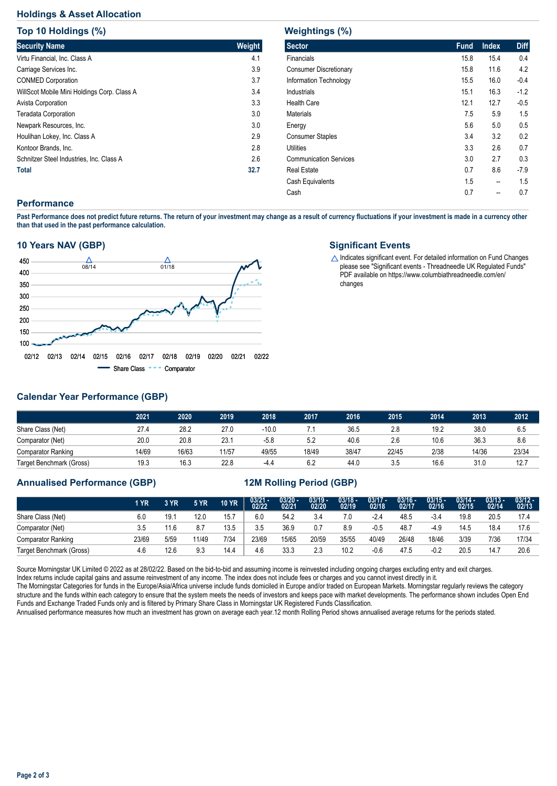# **Holdings & Asset Allocation**

**Top 10 Holdings (%)**

| <b>TOD TO HOIGHTQS (%)</b>                  |        |
|---------------------------------------------|--------|
| <b>Security Name</b>                        | Weight |
| Virtu Financial, Inc. Class A               | 4.1    |
| Carriage Services Inc.                      | 3.9    |
| <b>CONMED Corporation</b>                   | 3.7    |
| WillScot Mobile Mini Holdings Corp. Class A | 3.4    |
| Avista Corporation                          | 3.3    |
| <b>Teradata Corporation</b>                 | 3.0    |
| Newpark Resources, Inc.                     | 3.0    |
| Houlihan Lokey, Inc. Class A                | 2.9    |
| Kontoor Brands, Inc.                        | 2.8    |
| Schnitzer Steel Industries, Inc. Class A    | 2.6    |
| <b>Total</b>                                | 32.7   |

#### **Weightings (%)**

| 116191101193 (707             |             |              |             |
|-------------------------------|-------------|--------------|-------------|
| <b>Sector</b>                 | <b>Fund</b> | <b>Index</b> | <b>Diff</b> |
| <b>Financials</b>             | 15.8        | 15.4         | 0.4         |
| <b>Consumer Discretionary</b> | 15.8        | 11.6         | 4.2         |
| Information Technology        | 15.5        | 16.0         | $-0.4$      |
| <b>Industrials</b>            | 15.1        | 16.3         | $-1.2$      |
| <b>Health Care</b>            | 12.1        | 12.7         | $-0.5$      |
| <b>Materials</b>              | 7.5         | 5.9          | 1.5         |
| Energy                        | 5.6         | 5.0          | 0.5         |
| <b>Consumer Staples</b>       | 3.4         | 3.2          | 0.2         |
| Utilities                     | 3.3         | 2.6          | 0.7         |
| <b>Communication Services</b> | 3.0         | 2.7          | 0.3         |
| <b>Real Estate</b>            | 0.7         | 8.6          | $-7.9$      |
| Cash Equivalents              | 1.5         | --           | 1.5         |
| Cash                          | 0.7         | --           | 0.7         |
|                               |             |              |             |

## **Performance**

**Past Performance does not predict future returns. The return of your investment may change as a result of currency fluctuations if your investment is made in a currency other than that used in the past performance calculation.** 

#### **10 Years NAV (GBP)**



#### **Significant Events**

 $\triangle$  Indicates significant event. For detailed information on Fund Changes please see "Significant events - Threadneedle UK Regulated Funds" PDF available on https://www.columbiathreadneedle.com/en/ changes

# **Calendar Year Performance (GBP)**

|                           | 2021  | 2020  | 2019  | 2018    | 2017  | 2016  | 2015  | 2014 | 2013  | 2012  |
|---------------------------|-------|-------|-------|---------|-------|-------|-------|------|-------|-------|
| Share Class (Net)         | 27.4  | 28.2  | 27.0  | $-10.0$ |       | 36.5  | 2.8   | 19.2 | 38.0  | 6.5   |
| Comparator (Net)          | 20.0  | 20.8  | 23.1  | $-5.8$  | 5.2   | 40.6  | 2.6   | 10.6 | 36.3  | 8.6   |
| <b>Comparator Ranking</b> | 14/69 | 16/63 | 11/57 | 49/55   | 18/49 | 38/47 | 22/45 | 2/38 | 14/36 | 23/34 |
| Target Benchmark (Gross)  | 19.3  | 16.3  | 22.8  | -4.4    | 6.2   | 44.0  | 3.5   | 16.6 | 31.0  | 12.7  |

## **Annualised Performance (GBP) 12M Rolling Period (GBP)**

|                           | 1 YR  | 3 YR | <b>5 YR</b> | <b>10 YR</b> | $03/21 - 02/22$ | 03/20 -<br>02/21 | $03/19 -$<br>02/20 | $03/18 -$<br>02/19 | $03/17 -$<br>02/18 | $03/16 -$<br>02/17 | $03/15 -$<br>02/16 | $03/14 -$<br>02/15 | $03/13 -$<br>02/14 | $03/12 -$<br>02/13 |
|---------------------------|-------|------|-------------|--------------|-----------------|------------------|--------------------|--------------------|--------------------|--------------------|--------------------|--------------------|--------------------|--------------------|
| Share Class (Net)         | 6.0   | 19.  | 12.0        | 15.7         | 6.0             | 54.2             | 3.4                | 7.0                | $-2.4$             | 48.5               | $-3.4$             | 19.8               | 20.5               | 17.4               |
| Comparator (Net)          | 3.5   | 11.6 | 8.7         | 13.5         | 3.5             | 36.9             |                    | 8.9                | -0.5               | 48.7               | -4.9               | 14.5               | 18.4               | 17.6               |
| <b>Comparator Ranking</b> | 23/69 | 5/59 | 11/49       | 7/34         | 23/69           | 15/65            | 20/59              | 35/55              | 40/49              | 26/48              | 18/46              | 3/39               | 7/36               | 17/34              |
| Target Benchmark (Gross)  | 4.6   | 12.6 | 9.3         | 14.4         | 4.6             | 33.3             | 2.3                | 10.2               | $-0.6$             | 47.5               | $-0.2$             | 20.5               | 14.7               | 20.6               |

Source Morningstar UK Limited © 2022 as at 28/02/22. Based on the bid-to-bid and assuming income is reinvested including ongoing charges excluding entry and exit charges.

Index returns include capital gains and assume reinvestment of any income. The index does not include fees or charges and you cannot invest directly in it.

The Morningstar Categories for funds in the Europe/Asia/Africa universe include funds domiciled in Europe and/or traded on European Markets. Morningstar regularly reviews the category structure and the funds within each category to ensure that the system meets the needs of investors and keeps pace with market developments. The performance shown includes Open End Funds and Exchange Traded Funds only and is filtered by Primary Share Class in Morningstar UK Registered Funds Classification.

Annualised performance measures how much an investment has grown on average each year.12 month Rolling Period shows annualised average returns for the periods stated.